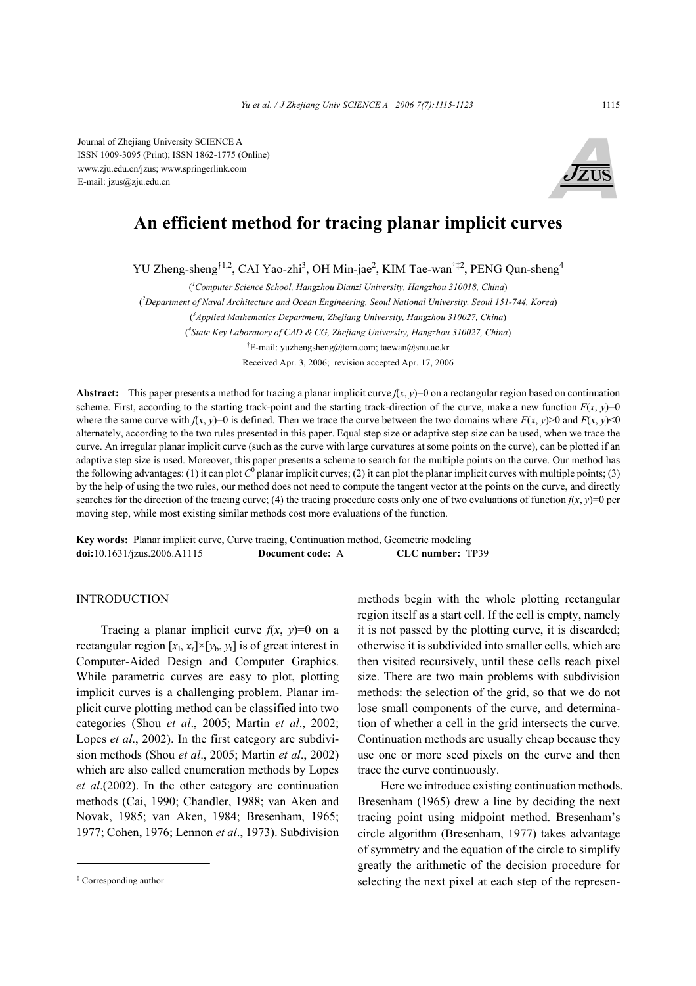Journal of Zhejiang University SCIENCE A ISSN 1009-3095 (Print); ISSN 1862-1775 (Online) www.zju.edu.cn/jzus; www.springerlink.com E-mail: jzus@zju.edu.cn



# **An efficient method for tracing planar implicit curves**

YU Zheng-sheng<sup>†1,2</sup>, CAI Yao-zhi<sup>3</sup>, OH Min-jae<sup>2</sup>, KIM Tae-wan<sup>†‡2</sup>, PENG Qun-sheng<sup>4</sup>

( *1 Computer Science School, Hangzhou Dianzi University, Hangzhou 310018, China*)

( *2 Department of Naval Architecture and Ocean Engineering, Seoul National University, Seoul 151-744, Korea*)

( *3 Applied Mathematics Department, Zhejiang University, Hangzhou 310027, China*)

( *4 State Key Laboratory of CAD & CG, Zhejiang University, Hangzhou 310027, China*)

† E-mail: yuzhengsheng@tom.com; taewan@snu.ac.kr

Received Apr. 3, 2006; revision accepted Apr. 17, 2006

**Abstract:** This paper presents a method for tracing a planar implicit curve  $f(x, y) = 0$  on a rectangular region based on continuation scheme. First, according to the starting track-point and the starting track-direction of the curve, make a new function  $F(x, y)=0$ where the same curve with  $f(x, y)=0$  is defined. Then we trace the curve between the two domains where  $F(x, y) > 0$  and  $F(x, y) < 0$ alternately, according to the two rules presented in this paper. Equal step size or adaptive step size can be used, when we trace the curve. An irregular planar implicit curve (such as the curve with large curvatures at some points on the curve), can be plotted if an adaptive step size is used. Moreover, this paper presents a scheme to search for the multiple points on the curve. Our method has the following advantages: (1) it can plot  $C^0$  planar implicit curves; (2) it can plot the planar implicit curves with multiple points; (3) by the help of using the two rules, our method does not need to compute the tangent vector at the points on the curve, and directly searches for the direction of the tracing curve; (4) the tracing procedure costs only one of two evaluations of function  $f(x, y)=0$  per moving step, while most existing similar methods cost more evaluations of the function.

**Key words:** Planar implicit curve, Curve tracing, Continuation method, Geometric modeling **doi:**10.1631/jzus.2006.A1115 **Document code:** A **CLC number:** TP39

# **INTRODUCTION**

Tracing a planar implicit curve  $f(x, y)=0$  on a rectangular region  $[x_1, x_1] \times [y_0, y_1]$  is of great interest in Computer-Aided Design and Computer Graphics. While parametric curves are easy to plot, plotting implicit curves is a challenging problem. Planar implicit curve plotting method can be classified into two categories (Shou *et al*., 2005; Martin *et al*., 2002; Lopes *et al*., 2002). In the first category are subdivision methods (Shou *et al*., 2005; Martin *et al*., 2002) which are also called enumeration methods by Lopes *et al*.(2002). In the other category are continuation methods (Cai, 1990; Chandler, 1988; van Aken and Novak, 1985; van Aken, 1984; Bresenham, 1965; 1977; Cohen, 1976; Lennon *et al*., 1973). Subdivision

methods begin with the whole plotting rectangular region itself as a start cell. If the cell is empty, namely it is not passed by the plotting curve, it is discarded; otherwise it is subdivided into smaller cells, which are then visited recursively, until these cells reach pixel size. There are two main problems with subdivision methods: the selection of the grid, so that we do not lose small components of the curve, and determination of whether a cell in the grid intersects the curve. Continuation methods are usually cheap because they use one or more seed pixels on the curve and then trace the curve continuously.

Here we introduce existing continuation methods. Bresenham (1965) drew a line by deciding the next tracing point using midpoint method. Bresenham's circle algorithm (Bresenham, 1977) takes advantage of symmetry and the equation of the circle to simplify greatly the arithmetic of the decision procedure for selecting the next pixel at each step of the represen-

<sup>‡</sup> Corresponding author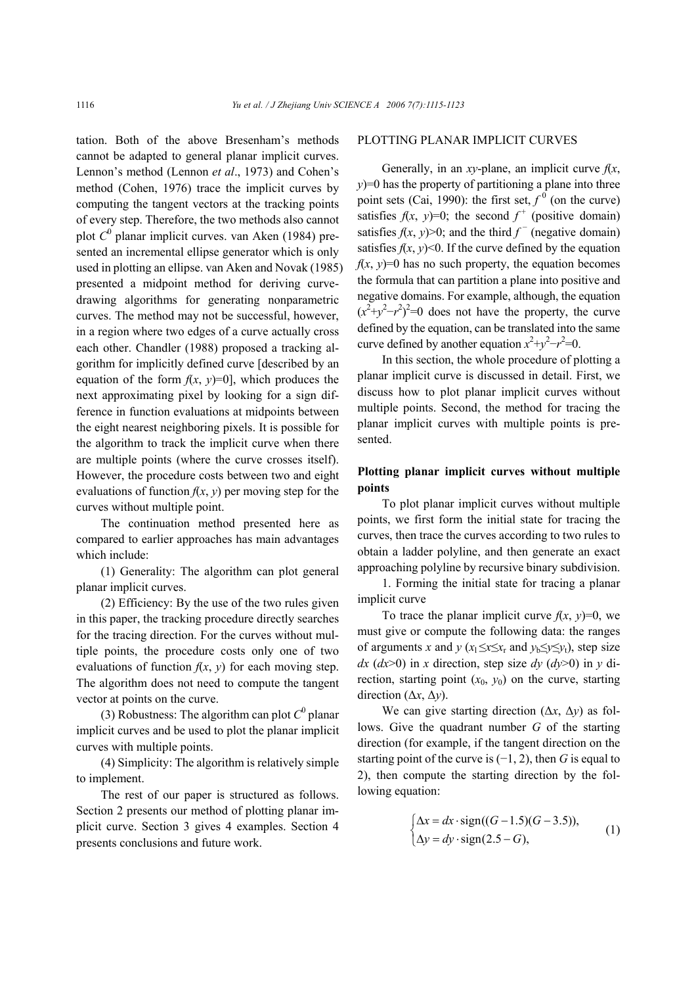tation. Both of the above Bresenham's methods cannot be adapted to general planar implicit curves. Lennon's method (Lennon *et al*., 1973) and Cohen's method (Cohen, 1976) trace the implicit curves by computing the tangent vectors at the tracking points of every step. Therefore, the two methods also cannot plot *C*<sup>0</sup> planar implicit curves. van Aken (1984) presented an incremental ellipse generator which is only used in plotting an ellipse. van Aken and Novak (1985) presented a midpoint method for deriving curvedrawing algorithms for generating nonparametric curves. The method may not be successful, however, in a region where two edges of a curve actually cross each other. Chandler (1988) proposed a tracking algorithm for implicitly defined curve [described by an equation of the form  $f(x, y)=0$ , which produces the next approximating pixel by looking for a sign difference in function evaluations at midpoints between the eight nearest neighboring pixels. It is possible for the algorithm to track the implicit curve when there are multiple points (where the curve crosses itself). However, the procedure costs between two and eight evaluations of function  $f(x, y)$  per moving step for the curves without multiple point.

The continuation method presented here as compared to earlier approaches has main advantages which include:

(1) Generality: The algorithm can plot general planar implicit curves.

(2) Efficiency: By the use of the two rules given in this paper, the tracking procedure directly searches for the tracing direction. For the curves without multiple points, the procedure costs only one of two evaluations of function  $f(x, y)$  for each moving step. The algorithm does not need to compute the tangent vector at points on the curve.

(3) Robustness: The algorithm can plot  $C^0$  planar implicit curves and be used to plot the planar implicit curves with multiple points.

(4) Simplicity: The algorithm is relatively simple to implement.

The rest of our paper is structured as follows. Section 2 presents our method of plotting planar implicit curve. Section 3 gives 4 examples. Section 4 presents conclusions and future work.

#### PLOTTING PLANAR IMPLICIT CURVES

Generally, in an *xy*-plane, an implicit curve  $f(x)$ , *y*)=0 has the property of partitioning a plane into three point sets (Cai, 1990): the first set,  $f^0$  (on the curve) satisfies  $f(x, y)=0$ ; the second  $f^+$  (positive domain) satisfies  $f(x, y) > 0$ ; and the third  $f<sup>-</sup>$  (negative domain) satisfies  $f(x, y)$ <0. If the curve defined by the equation  $f(x, y) = 0$  has no such property, the equation becomes the formula that can partition a plane into positive and negative domains. For example, although, the equation  $(x^2+y^2-r^2)^2=0$  does not have the property, the curve defined by the equation, can be translated into the same curve defined by another equation  $x^2+y^2-r^2=0$ .

In this section, the whole procedure of plotting a planar implicit curve is discussed in detail. First, we discuss how to plot planar implicit curves without multiple points. Second, the method for tracing the planar implicit curves with multiple points is presented.

# **Plotting planar implicit curves without multiple points**

To plot planar implicit curves without multiple points, we first form the initial state for tracing the curves, then trace the curves according to two rules to obtain a ladder polyline, and then generate an exact approaching polyline by recursive binary subdivision.

1. Forming the initial state for tracing a planar implicit curve

To trace the planar implicit curve  $f(x, y)=0$ , we must give or compute the following data: the ranges of arguments *x* and  $y(x_1 \leq x \leq x_r$  and  $y_b \leq y \leq y_t$ , step size *dx*  $(dx>0)$  in *x* direction, step size *dy*  $(dy>0)$  in *y* direction, starting point  $(x_0, y_0)$  on the curve, starting direction (∆*x*, ∆*y*).

We can give starting direction (∆*x*, ∆*y*) as follows. Give the quadrant number *G* of the starting direction (for example, if the tangent direction on the starting point of the curve is (−1, 2), then *G* is equal to 2), then compute the starting direction by the following equation:

$$
\begin{cases}\n\Delta x = dx \cdot \text{sign}((G - 1.5)(G - 3.5)), \\
\Delta y = dy \cdot \text{sign}(2.5 - G),\n\end{cases} (1)
$$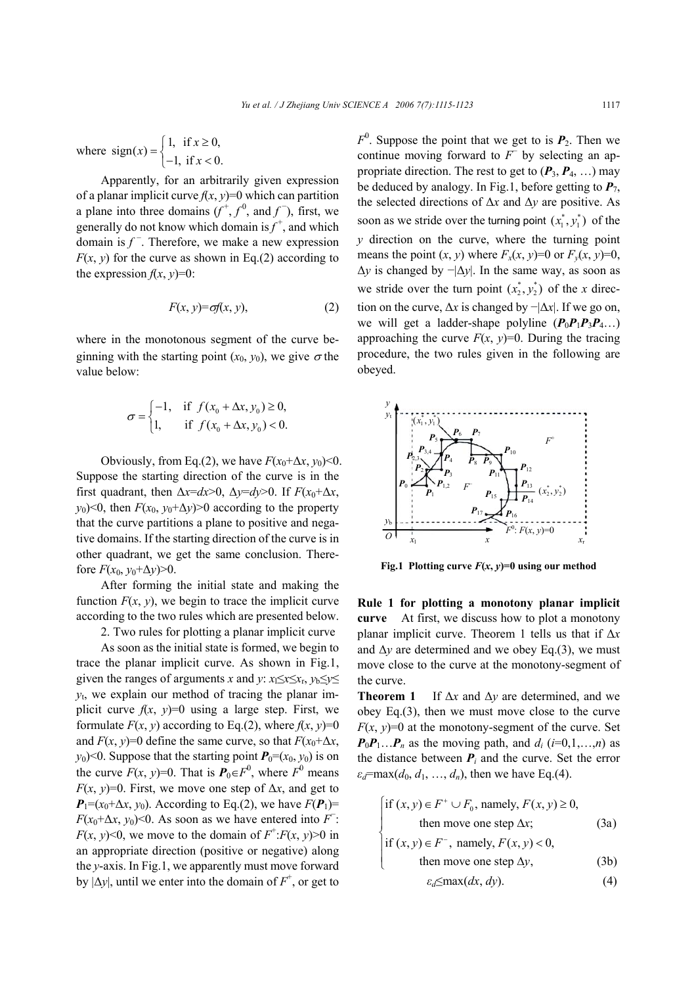where sign(x) = 
$$
\begin{cases} 1, & \text{if } x \ge 0, \\ -1, & \text{if } x < 0. \end{cases}
$$

Apparently, for an arbitrarily given expression of a planar implicit curve  $f(x, y) = 0$  which can partition a plane into three domains  $(f^{\dagger}, f^{0}, \text{ and } f^{\dagger})$ , first, we generally do not know which domain is  $f^+$ , and which domain is  $f<sup>-</sup>$ . Therefore, we make a new expression  $F(x, y)$  for the curve as shown in Eq.(2) according to the expression  $f(x, y)=0$ :

$$
F(x, y) = \sigma f(x, y), \tag{2}
$$

where in the monotonous segment of the curve beginning with the starting point  $(x_0, y_0)$ , we give  $\sigma$  the value below:

$$
\sigma = \begin{cases}\n-1, & \text{if } f(x_0 + \Delta x, y_0) \ge 0, \\
1, & \text{if } f(x_0 + \Delta x, y_0) < 0.\n\end{cases}
$$

Obviously, from Eq.(2), we have  $F(x_0+\Delta x, y_0) \le 0$ . Suppose the starting direction of the curve is in the first quadrant, then  $\Delta x = dx > 0$ ,  $\Delta y = dy > 0$ . If  $F(x_0 + \Delta x)$ , *y*<sub>0</sub>)<0, then  $F(x_0, y_0+\Delta y)$ >0 according to the property that the curve partitions a plane to positive and negative domains. If the starting direction of the curve is in other quadrant, we get the same conclusion. Therefore  $F(x_0, y_0+\Delta y) > 0$ .

After forming the initial state and making the function  $F(x, y)$ , we begin to trace the implicit curve according to the two rules which are presented below.

2. Two rules for plotting a planar implicit curve

As soon as the initial state is formed, we begin to trace the planar implicit curve. As shown in Fig.1, given the ranges of arguments *x* and *y*:  $x_1 \le x \le x_r$ ,  $y_b \le y \le$ *y*t, we explain our method of tracing the planar implicit curve  $f(x, y)=0$  using a large step. First, we formulate  $F(x, y)$  according to Eq.(2), where  $f(x, y)=0$ and  $F(x, y)=0$  define the same curve, so that  $F(x_0+\Delta x, \Delta x)$ *y*<sub>0</sub>)<0. Suppose that the starting point  $P_0=(x_0, y_0)$  is on the curve  $F(x, y)=0$ . That is  $P_0 \in F^0$ , where  $F^0$  means *F*(*x*, *y*)=0. First, we move one step of  $\Delta x$ , and get to  $P_1=(x_0+\Delta x, y_0)$ . According to Eq.(2), we have  $F(P_1)$ = *F*( $x_0$ + $\Delta x$ ,  $y_0$ )<0. As soon as we have entered into *F* : *F*(*x*, *y*)<0, we move to the domain of  $F^+$ :*F*(*x*, *y*)>0 in an appropriate direction (positive or negative) along the *y*-axis. In Fig.1, we apparently must move forward by  $|\Delta y|$ , until we enter into the domain of  $F^+$ , or get to

 $F^0$ . Suppose the point that we get to is  $P_2$ . Then we continue moving forward to *F*<sup>−</sup> by selecting an appropriate direction. The rest to get to  $(P_3, P_4, \ldots)$  may be deduced by analogy. In Fig.1, before getting to  $P_7$ , the selected directions of ∆*x* and ∆*y* are positive. As soon as we stride over the turning point  $(x_1^*, y_1^*)$  of the *y* direction on the curve, where the turning point means the point  $(x, y)$  where  $F_x(x, y)=0$  or  $F_y(x, y)=0$ , ∆*y* is changed by −|∆*y*|. In the same way, as soon as we stride over the turn point  $(x_2^*, y_2^*)$  of the *x* direction on the curve,  $\Delta x$  is changed by  $-|\Delta x|$ . If we go on, we will get a ladder-shape polyline  $(P_0P_1P_3P_4...)$ approaching the curve  $F(x, y)=0$ . During the tracing procedure, the two rules given in the following are obeyed.



**Fig.1 Plotting curve**  $F(x, y)=0$  **using our method** 

**Rule 1 for plotting a monotony planar implicit curve** At first, we discuss how to plot a monotony planar implicit curve. Theorem 1 tells us that if ∆*x* and  $\Delta y$  are determined and we obey Eq.(3), we must move close to the curve at the monotony-segment of the curve.

**Theorem 1** If ∆*x* and ∆*y* are determined, and we obey Eq.(3), then we must move close to the curve  $F(x, y) = 0$  at the monotony-segment of the curve. Set  $P_0P_1...P_n$  as the moving path, and  $d_i$  (*i*=0,1,…,*n*) as the distance between  $P_i$  and the curve. Set the error  $\varepsilon_d$ =max(*d*<sub>0</sub>, *d*<sub>1</sub>, ..., *d<sub>n</sub>*), then we have Eq.(4).

$$
\begin{cases}\n\text{if } (x, y) \in F^+ \cup F_0 \text{, namely, } F(x, y) \ge 0, \\
\text{then move one step } \Delta x;\n\end{cases}
$$
\n(3a)

if 
$$
(x, y) \in F^-
$$
, namely,  $F(x, y) < 0$ ,  
then move one step  $\Delta y$  (3b)

then move one step 
$$
\Delta y
$$
, (3b)

$$
\varepsilon_d \le \max(dx, dy). \tag{4}
$$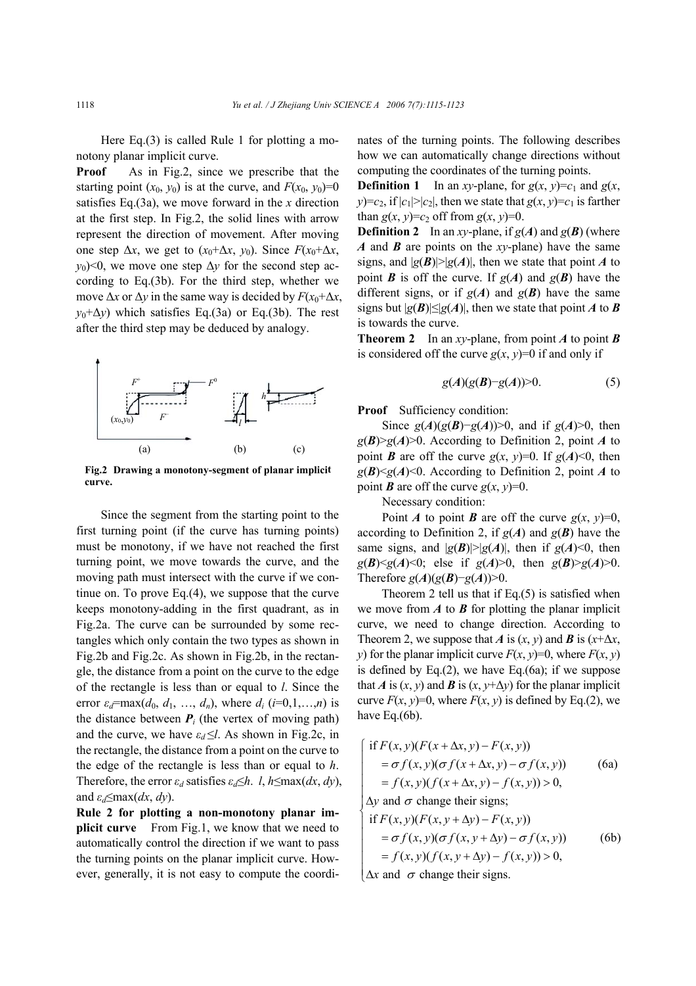Here Eq.(3) is called Rule 1 for plotting a monotony planar implicit curve.

**Proof** As in Fig.2, since we prescribe that the starting point  $(x_0, y_0)$  is at the curve, and  $F(x_0, y_0)=0$ satisfies Eq.(3a), we move forward in the *x* direction at the first step. In Fig.2, the solid lines with arrow represent the direction of movement. After moving one step  $\Delta x$ , we get to  $(x_0 + \Delta x, y_0)$ . Since  $F(x_0 + \Delta x, y_0)$ *y*<sub>0</sub>)<0, we move one step  $\Delta y$  for the second step according to Eq.(3b). For the third step, whether we move  $\Delta x$  or  $\Delta y$  in the same way is decided by  $F(x_0+\Delta x)$ ,  $y_0+\Delta y$ ) which satisfies Eq.(3a) or Eq.(3b). The rest after the third step may be deduced by analogy.



**Fig.2 Drawing a monotony-segment of planar implicit curve.**

Since the segment from the starting point to the first turning point (if the curve has turning points) must be monotony, if we have not reached the first turning point, we move towards the curve, and the moving path must intersect with the curve if we continue on. To prove Eq.(4), we suppose that the curve keeps monotony-adding in the first quadrant, as in Fig.2a. The curve can be surrounded by some rectangles which only contain the two types as shown in Fig.2b and Fig.2c. As shown in Fig.2b, in the rectangle, the distance from a point on the curve to the edge of the rectangle is less than or equal to *l*. Since the error  $\varepsilon_d$ =max( $d_0$ ,  $d_1$ , ...,  $d_n$ ), where  $d_i$  ( $i=0,1,...,n$ ) is the distance between  $P_i$  (the vertex of moving path) and the curve, we have  $\varepsilon_d \le l$ . As shown in Fig.2c, in the rectangle, the distance from a point on the curve to the edge of the rectangle is less than or equal to *h*. Therefore, the error  $\varepsilon_d$  satisfies  $\varepsilon_d \leq h$ . *l*,  $h \leq \max(dx, dy)$ , and  $\varepsilon_d \leq \max(dx, dy)$ .

**Rule 2 for plotting a non-monotony planar implicit curve** From Fig.1, we know that we need to automatically control the direction if we want to pass the turning points on the planar implicit curve. However, generally, it is not easy to compute the coordinates of the turning points. The following describes how we can automatically change directions without computing the coordinates of the turning points.

**Definition 1** In an *xy*-plane, for  $g(x, y)=c_1$  and  $g(x, y)$  $y$ )= $c_2$ , if  $|c_1|$ > $|c_2|$ , then we state that  $g(x, y) = c_1$  is farther than  $g(x, y)=c_2$  off from  $g(x, y)=0$ .

**Definition 2** In an *xy*-plane, if  $g(A)$  and  $g(B)$  (where *A* and *B* are points on the *xy*-plane) have the same signs, and  $|g(B)| > |g(A)|$ , then we state that point *A* to point *B* is off the curve. If  $g(A)$  and  $g(B)$  have the different signs, or if  $g(A)$  and  $g(B)$  have the same signs but  $|g(B)| \leq |g(A)|$ , then we state that point *A* to *B* is towards the curve.

**Theorem 2** In an *xy*-plane, from point *A* to point *B* is considered off the curve  $g(x, y)=0$  if and only if

$$
g(A)(g(B)-g(A))>0.\tag{5}
$$

**Proof** Sufficiency condition:

Since *g*(*A*)(*g*(*B*)−*g*(*A*))>0, and if *g*(*A*)>0, then  $g(B) > g(A) > 0$ . According to Definition 2, point *A* to point *B* are off the curve  $g(x, y)=0$ . If  $g(A) < 0$ , then  $g(B) \le g(A) \le 0$ . According to Definition 2, point *A* to point *B* are off the curve  $g(x, y)=0$ .

Necessary condition:

Point *A* to point *B* are off the curve  $g(x, y)=0$ , according to Definition 2, if  $g(A)$  and  $g(B)$  have the same signs, and  $|g(B)| > |g(A)|$ , then if  $g(A) < 0$ , then  $g(B) \le g(A) \le 0$ ; else if  $g(A) \ge 0$ , then  $g(B) \ge g(A) \ge 0$ . Therefore  $g(A)(g(B)-g(A))>0$ .

Theorem 2 tell us that if Eq. $(5)$  is satisfied when we move from  $\vec{A}$  to  $\vec{B}$  for plotting the planar implicit curve, we need to change direction. According to Theorem 2, we suppose that *A* is  $(x, y)$  and *B* is  $(x+\Delta x)$ , *y*) for the planar implicit curve  $F(x, y)=0$ , where  $F(x, y)$ is defined by Eq. $(2)$ , we have Eq. $(6a)$ ; if we suppose that *A* is  $(x, y)$  and *B* is  $(x, y+\Delta y)$  for the planar implicit curve  $F(x, y)=0$ , where  $F(x, y)$  is defined by Eq.(2), we have Eq.(6b).

$$
\begin{cases}\n\text{if } F(x, y)(F(x + \Delta x, y) - F(x, y)) \\
= \sigma f(x, y)(\sigma f(x + \Delta x, y) - \sigma f(x, y)) \\
= f(x, y)(f(x + \Delta x, y) - f(x, y)) > 0, \\
\Delta y \text{ and } \sigma \text{ change their signs;} \n\end{cases}
$$
\n(6a)

$$
\begin{cases}\n\text{if } F(x, y)(F(x, y + \Delta y) - F(x, y)) \\
= \sigma f(x, y)(\sigma f(x, y + \Delta y) - \sigma f(x, y)) \\
= f(x, y)(f(x, y + \Delta y) - f(x, y)) > 0,\n\end{cases}
$$
\n(b)

 $\alpha$  and  $\sigma$  change their signs.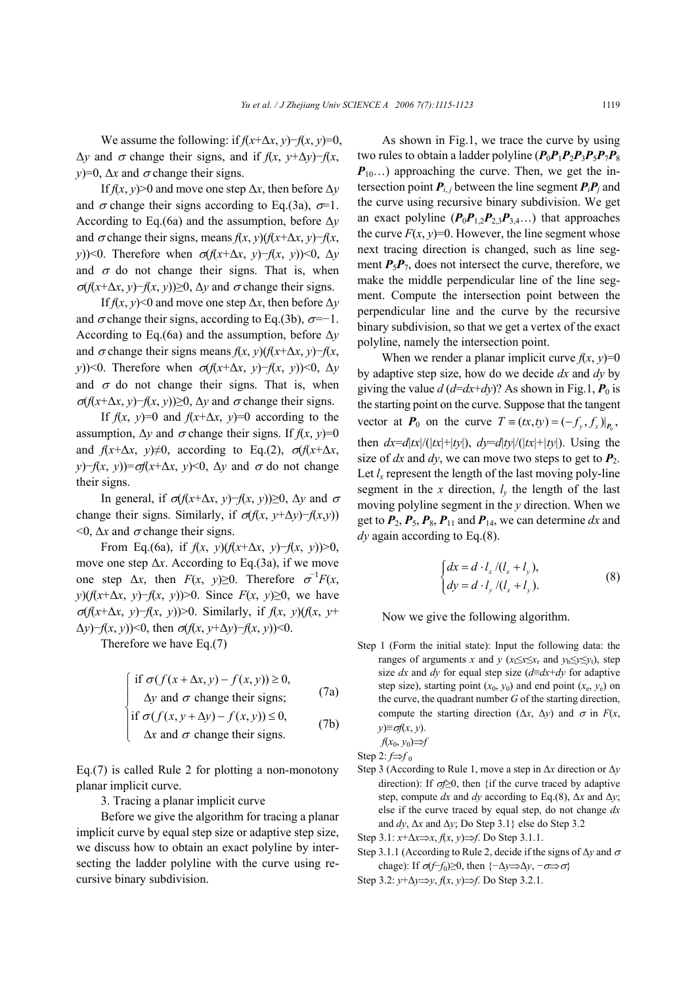We assume the following: if  $f(x+\Delta x, y)$ − $f(x, y)$ =0, ∆*y* and σ change their signs, and if *f*(*x*, *y*+∆*y*)−*f*(*x*, *y*)=0,  $\Delta x$  and  $\sigma$  change their signs.

If  $f(x, y) > 0$  and move one step  $\Delta x$ , then before  $\Delta y$ and  $\sigma$  change their signs according to Eq.(3a),  $\sigma=1$ . According to Eq.(6a) and the assumption, before ∆*y* and  $\sigma$  change their signs, means  $f(x, y)$  $(f(x+\Delta x, y)-f(x, \Delta y))$ *y*))<0. Therefore when  $σ(f(x+Δx, y)−f(x, y)) ≤ 0, Δy$ and  $\sigma$  do not change their signs. That is, when <sup>σ</sup>(*f*(*x*+∆*x*, *y*)−*f*(*x*, *y*))≥0, ∆*y* and σ change their signs.

If  $f(x, y)$ <0 and move one step  $\Delta x$ , then before  $\Delta y$ and  $\sigma$  change their signs, according to Eq.(3b),  $\sigma=-1$ . According to Eq.(6a) and the assumption, before ∆*y* and  $\sigma$  change their signs means  $f(x, y)$  $(f(x+\Delta x, y)-f(x, \Delta x))$ *y*))<0. Therefore when  $σ(f(x+Δx, y)−f(x, y)) ≤ 0, Δy$ and  $\sigma$  do not change their signs. That is, when  $σ(f(x+Δx, y)−f(x, y))≥0$ , Δ*y* and  $σ$  change their signs.

If  $f(x, y)=0$  and  $f(x+\Delta x, y)=0$  according to the assumption,  $\Delta y$  and  $\sigma$  change their signs. If  $f(x, y)=0$ and  $f(x+\Delta x, y) \neq 0$ , according to Eq.(2),  $\sigma(f(x+\Delta x, y))$ *y*)−*f*(*x*, *y*))= $σf(x+\Delta x, y)$  < 0,  $\Delta y$  and  $σ$  do not change their signs.

In general, if σ(*f*(*x*+∆*x*, *y*)−*f*(*x*, *y*))≥0, ∆*y* and <sup>σ</sup> change their signs. Similarly, if  $\sigma(f(x, y + \Delta y) - f(x, y))$  $\leq 0$ ,  $\Delta x$  and  $\sigma$  change their signs.

From Eq.(6a), if  $f(x, y)$  $(f(x+\Delta x, y)-f(x, y))>0$ , move one step ∆*x*. According to Eq.(3a), if we move one step  $\Delta x$ , then  $F(x, y) \ge 0$ . Therefore  $\sigma^{-1}F(x, y)$ *y*)(*f*(*x*+∆*x*, *y*)−*f*(*x*, *y*))>0. Since *F*(*x*, *y*)≥0, we have <sup>σ</sup>(*f*(*x*+∆*x*, *y*)−*f*(*x*, *y*))>0. Similarly, if *f*(*x*, *y*)(*f*(*x*, *y*+ ∆*y*)−*f*(*x*, *y*))<0, then σ(*f*(*x*, *y*+∆*y*)−*f*(*x*, *y*))<0.

Therefore we have Eq.(7)

$$
\int \text{if } \sigma(f(x + \Delta x, y) - f(x, y)) \ge 0,
$$
\n(7a)

$$
\Delta y \text{ and } \sigma \text{ change their signs;}
$$
\n
$$
\text{if } \sigma(f(x, y + \Delta y) - f(x, y)) \le 0,
$$
\n
$$
(7b)
$$

$$
\begin{cases} \text{if } \sigma(f(x, y + \Delta y) - f(x, y)) \le 0, \\ \Delta x \text{ and } \sigma \text{ change their signs.} \end{cases} \tag{7b}
$$

Eq.(7) is called Rule 2 for plotting a non-monotony planar implicit curve.

3. Tracing a planar implicit curve

Before we give the algorithm for tracing a planar implicit curve by equal step size or adaptive step size, we discuss how to obtain an exact polyline by intersecting the ladder polyline with the curve using recursive binary subdivision.

As shown in Fig.1, we trace the curve by using two rules to obtain a ladder polyline  $(P_0P_1P_2P_3P_5P_7P_8)$  $P_{10}$ ...) approaching the curve. Then, we get the intersection point  $P_i$ , between the line segment  $P_i$ <sup>*P*</sup>*j* and the curve using recursive binary subdivision. We get an exact polyline  $(P_0P_{1,2}P_{2,3}P_{3,4} ...)$  that approaches the curve  $F(x, y)=0$ . However, the line segment whose next tracing direction is changed, such as line segment  $P_5P_7$ , does not intersect the curve, therefore, we make the middle perpendicular line of the line segment. Compute the intersection point between the perpendicular line and the curve by the recursive binary subdivision, so that we get a vertex of the exact polyline, namely the intersection point.

When we render a planar implicit curve  $f(x, y)=0$ by adaptive step size, how do we decide *dx* and *dy* by giving the value  $d (d=dx+dy)$ ? As shown in Fig.1,  $P_0$  is the starting point on the curve. Suppose that the tangent vector at  $P_0$  on the curve  $T = (tx, ty) = (-f_v, f_x)|_{P_0}$ , then  $dx=dx/dx/(|tx|+|ty|)$ ,  $dy=dx/dy/(|tx|+|ty|)$ . Using the size of  $dx$  and  $dy$ , we can move two steps to get to  $P_2$ . Let  $l_x$  represent the length of the last moving poly-line segment in the *x* direction,  $l<sub>v</sub>$  the length of the last moving polyline segment in the *y* direction. When we get to  $P_2$ ,  $P_5$ ,  $P_8$ ,  $P_{11}$  and  $P_{14}$ , we can determine dx and *dy* again according to Eq.(8).

$$
\begin{cases} dx = d \cdot l_x / (l_x + l_y), \\ dy = d \cdot l_y / (l_x + l_y). \end{cases} \tag{8}
$$

Now we give the following algorithm.

Step 1 (Form the initial state): Input the following data: the ranges of arguments *x* and *y* ( $x_1 \le x \le x_r$  and  $y_b \le y \le y_t$ ), step size *dx* and *dy* for equal step size (*d*≡*dx*+*dy* for adaptive step size), starting point  $(x_0, y_0)$  and end point  $(x_e, y_e)$  on the curve, the quadrant number *G* of the starting direction, compute the starting direction ( $\Delta x$ ,  $\Delta y$ ) and  $\sigma$  in *F*(*x*, *y*)≡σ*f*(*x*, *y*).

*f*(*x*0, *y*0)⇒*f*

Step 2:  $f \Rightarrow f_0$ 

Step 3 (According to Rule 1, move a step in ∆*x* direction or ∆*y* direction): If σ*f*≥0, then {if the curve traced by adaptive step, compute  $dx$  and  $dy$  according to Eq.(8),  $\Delta x$  and  $\Delta y$ ; else if the curve traced by equal step, do not change *dx* and *dy*, ∆*x* and ∆*y*; Do Step 3.1} else do Step 3.2

Step 3.1: *x*+∆*x*⇒*x*, *f*(*x*, *y*)⇒*f*. Do Step 3.1.1.

Step 3.1.1 (According to Rule 2, decide if the signs of ∆*y* and <sup>σ</sup> chage): If  $\sigma(f-f_0) \geq 0$ , then  $\{-\Delta y \Rightarrow \Delta y, -\sigma \Rightarrow \sigma\}$ 

Step 3.2: *y*+∆*y*⇒*y*, *f*(*x*, *y*)⇒*f*. Do Step 3.2.1.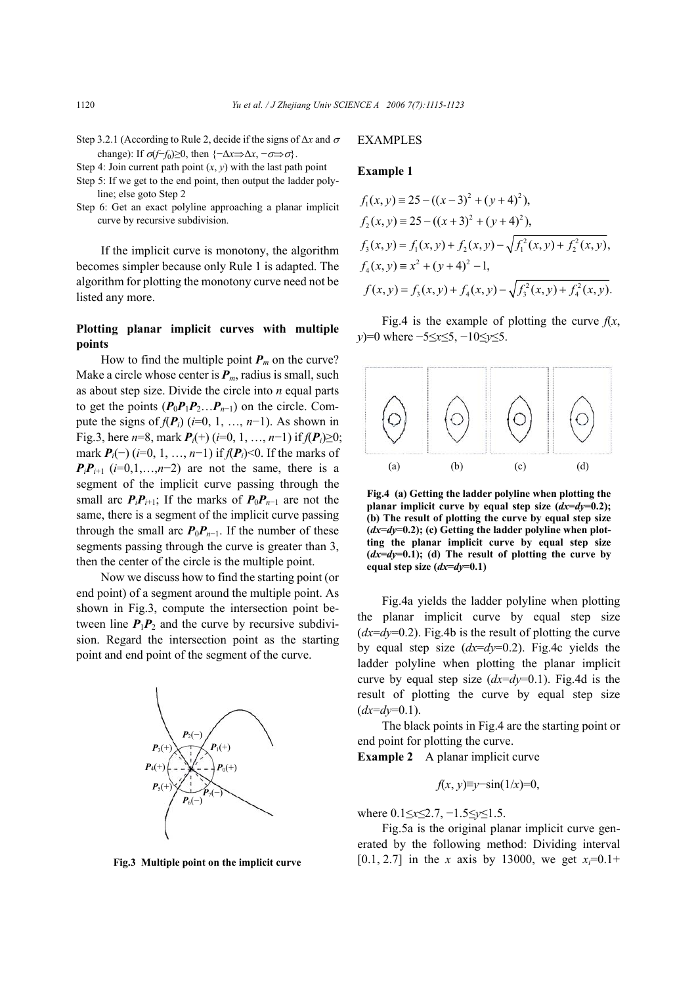Step 3.2.1 (According to Rule 2, decide if the signs of ∆*x* and <sup>σ</sup> change): If  $\sigma(f-f_0) \geq 0$ , then  $\{-\Delta x \Rightarrow \Delta x, -\sigma \Rightarrow \sigma\}$ .

Step 4: Join current path point  $(x, y)$  with the last path point

- Step 5: If we get to the end point, then output the ladder polyline; else goto Step 2
- Step 6: Get an exact polyline approaching a planar implicit curve by recursive subdivision.

If the implicit curve is monotony, the algorithm becomes simpler because only Rule 1 is adapted. The algorithm for plotting the monotony curve need not be listed any more.

# **Plotting planar implicit curves with multiple points**

How to find the multiple point  $P_m$  on the curve? Make a circle whose center is  $P_m$ , radius is small, such as about step size. Divide the circle into *n* equal parts to get the points  $(P_0P_1P_2...P_{n-1})$  on the circle. Compute the signs of  $f(P_i)$  ( $i=0, 1, ..., n-1$ ). As shown in Fig.3, here  $n=8$ , mark  $P_i(+)$  ( $i=0, 1, ..., n-1$ ) if  $f(P_i) \ge 0$ ; mark *Pi*(−) (*i*=0, 1, …, *n*−1) if *f*(*Pi*)<0. If the marks of  $P_i P_{i+1}$  (*i*=0,1,…,*n*−2) are not the same, there is a segment of the implicit curve passing through the small arc  $P_i P_{i+1}$ ; If the marks of  $P_0 P_{n-1}$  are not the same, there is a segment of the implicit curve passing through the small arc  $P_0P_{n-1}$ . If the number of these segments passing through the curve is greater than 3, then the center of the circle is the multiple point.

Now we discuss how to find the starting point (or end point) of a segment around the multiple point. As shown in Fig.3, compute the intersection point between line  $P_1P_2$  and the curve by recursive subdivision. Regard the intersection point as the starting point and end point of the segment of the curve.



**Fig.3 Multiple point on the implicit curve**

### EXAMPLES

## **Example 1**

$$
f_1(x, y) = 25 - ((x - 3)^2 + (y + 4)^2),
$$
  
\n
$$
f_2(x, y) = 25 - ((x + 3)^2 + (y + 4)^2),
$$
  
\n
$$
f_3(x, y) = f_1(x, y) + f_2(x, y) - \sqrt{f_1^2(x, y) + f_2^2(x, y)},
$$
  
\n
$$
f_4(x, y) = x^2 + (y + 4)^2 - 1,
$$
  
\n
$$
f(x, y) = f_3(x, y) + f_4(x, y) - \sqrt{f_3^2(x, y) + f_4^2(x, y)}.
$$

Fig.4 is the example of plotting the curve  $f(x)$ , *y*)=0 where −5≤*x*≤5, −10≤*y*≤5.



**Fig.4 (a) Getting the ladder polyline when plotting the planar implicit curve by equal step size**  $(dx=dy=0.2)$ **; (b) The result of plotting the curve by equal step size**  $(dx=dy=0.2)$ ; (c) Getting the ladder polyline when plot**ting the planar implicit curve by equal step size**  $(dx=dy=0.1)$ ; (d) The result of plotting the curve by **equal step size (***dx***=***dy***=0.1)** 

Fig.4a yields the ladder polyline when plotting the planar implicit curve by equal step size  $(dx=dy=0.2)$ . Fig.4b is the result of plotting the curve by equal step size (*dx*=*dy*=0.2). Fig.4c yields the ladder polyline when plotting the planar implicit curve by equal step size (*dx*=*dy*=0.1). Fig.4d is the result of plotting the curve by equal step size  $(dx=dv=0.1)$ .

The black points in Fig.4 are the starting point or end point for plotting the curve.

**Example 2** A planar implicit curve

$$
f(x, y) \equiv y - \sin(1/x) = 0
$$

where 0.1≤*x*≤2.7, −1.5≤*y*≤1.5.

Fig.5a is the original planar implicit curve generated by the following method: Dividing interval  $[0.1, 2.7]$  in the *x* axis by 13000, we get  $x_i=0.1+$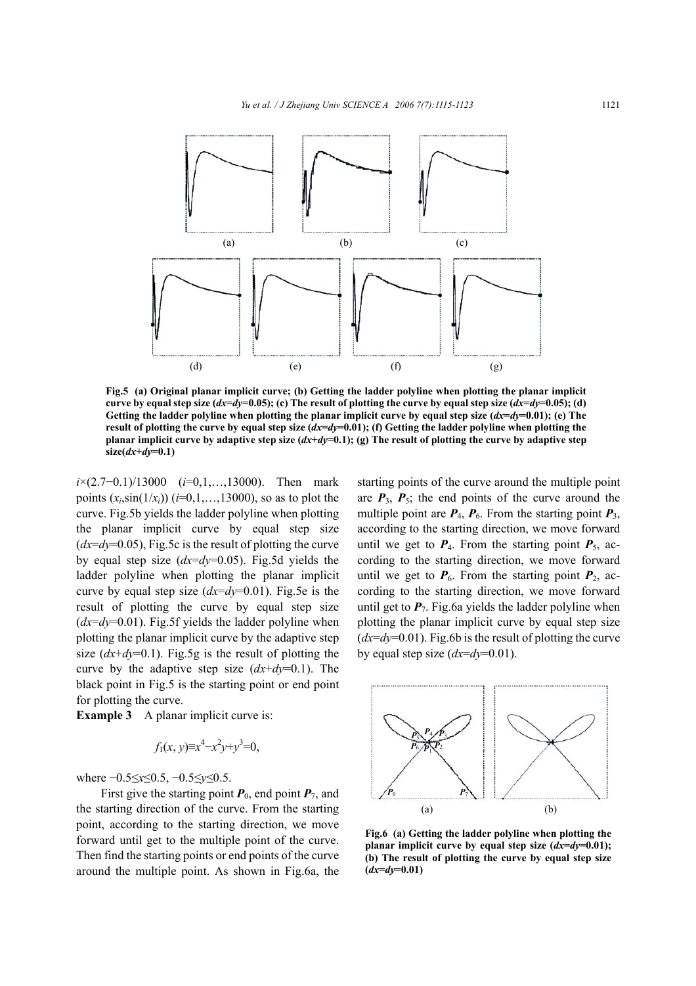

**Fig.5 (a) Original planar implicit curve; (b) Getting the ladder polyline when plotting the planar implicit curve by equal step size (** $dx=dy=0.05$ **); (c) The result of plotting the curve by equal step size (** $dx=dy=0.05$ **); (d) Getting the ladder polyline when plotting the planar implicit curve by equal step size (***dx***=***dy***=0.01); (e) The result of plotting the curve by equal step size (***dx***=***dy***=0.01); (f) Getting the ladder polyline when plotting the planar implicit curve by adaptive step size (***dx***+***dy***=0.1); (g) The result of plotting the curve by adaptive step size(***dx***+***dy***=0.1)** 

*i*×(2.7–0.1)/13000 (*i*=0,1,...,13000). Then mark points  $(x_i, \sin(1/x_i))$  ( $i=0,1,...,13000$ ), so as to plot the curve. Fig.5b yields the ladder polyline when plotting the planar implicit curve by equal step size (*dx*=*dy*=0.05), Fig.5c is the result of plotting the curve by equal step size (*dx*=*dy*=0.05). Fig.5d yields the ladder polyline when plotting the planar implicit curve by equal step size (*dx*=*dy*=0.01). Fig.5e is the result of plotting the curve by equal step size  $(dx=dy=0.01)$ . Fig.5f yields the ladder polyline when plotting the planar implicit curve by the adaptive step size  $(dx+dv=0.1)$ . Fig.5g is the result of plotting the curve by the adaptive step size  $(dx+dy=0.1)$ . The black point in Fig.5 is the starting point or end point for plotting the curve.

**Example 3** A planar implicit curve is:

$$
f_1(x, y) \equiv x^4 - x^2y + y^3 = 0
$$
,

where −0.5≤*x*≤0.5, −0.5≤*y*≤0.5.

First give the starting point  $P_0$ , end point  $P_7$ , and the starting direction of the curve. From the starting point, according to the starting direction, we move forward until get to the multiple point of the curve. Then find the starting points or end points of the curve around the multiple point. As shown in Fig.6a, the starting points of the curve around the multiple point are  $P_3$ ,  $P_5$ ; the end points of the curve around the multiple point are  $P_4$ ,  $P_6$ . From the starting point  $P_3$ , according to the starting direction, we move forward until we get to  $P_4$ . From the starting point  $P_5$ , according to the starting direction, we move forward until we get to  $P_6$ . From the starting point  $P_2$ , according to the starting direction, we move forward until get to  $P_7$ . Fig.6a yields the ladder polyline when plotting the planar implicit curve by equal step size  $(dx=dy=0.01)$ . Fig.6b is the result of plotting the curve by equal step size  $(dx=dv=0.01)$ .



**Fig.6 (a) Getting the ladder polyline when plotting the planar implicit curve by equal step size**  $(dx=dy=0.01)$ **; (b) The result of plotting the curve by equal step size**  $(dx=dv=0.01)$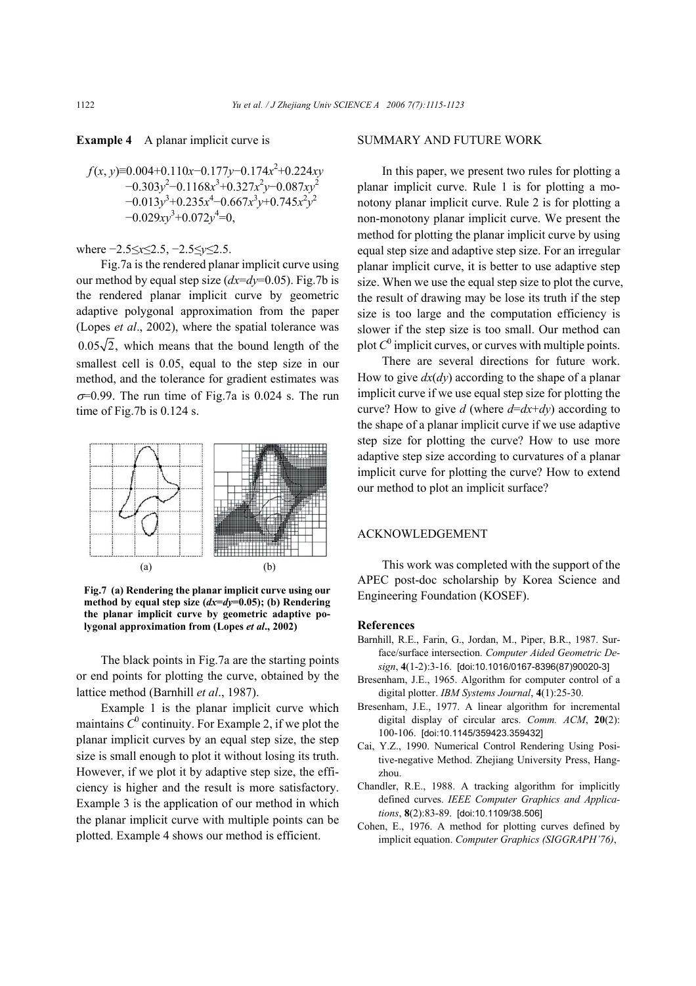**Example 4** A planar implicit curve is

$$
f(x, y)=0.004+0.110x-0.177y-0.174x^2+0.224xy-0.303y^2-0.1168x^3+0.327x^2y-0.087xy^2-0.013y^3+0.235x^4-0.667x^3y+0.745x^2y^2-0.029xy^3+0.072y^4=0,
$$

#### where −2.5≤*x*≤2.5, −2.5≤*y*≤2.5.

Fig.7a is the rendered planar implicit curve using our method by equal step size (*dx*=*dy*=0.05). Fig.7b is the rendered planar implicit curve by geometric adaptive polygonal approximation from the paper (Lopes *et al*., 2002), where the spatial tolerance was  $0.05\sqrt{2}$ , which means that the bound length of the smallest cell is 0.05, equal to the step size in our method, and the tolerance for gradient estimates was  $\sigma$ =0.99. The run time of Fig.7a is 0.024 s. The run time of Fig.7b is 0.124 s.



**Fig.7 (a) Rendering the planar implicit curve using our method by equal step size (***dx***=***dy***=0.05); (b) Rendering the planar implicit curve by geometric adaptive polygonal approximation from (Lopes** *et al***., 2002)**

The black points in Fig.7a are the starting points or end points for plotting the curve, obtained by the lattice method (Barnhill *et al*., 1987).

Example 1 is the planar implicit curve which maintains  $C^0$  continuity. For Example 2, if we plot the planar implicit curves by an equal step size, the step size is small enough to plot it without losing its truth. However, if we plot it by adaptive step size, the efficiency is higher and the result is more satisfactory. Example 3 is the application of our method in which the planar implicit curve with multiple points can be plotted. Example 4 shows our method is efficient.

#### SUMMARY AND FUTURE WORK

In this paper, we present two rules for plotting a planar implicit curve. Rule 1 is for plotting a monotony planar implicit curve. Rule 2 is for plotting a non-monotony planar implicit curve. We present the method for plotting the planar implicit curve by using equal step size and adaptive step size. For an irregular planar implicit curve, it is better to use adaptive step size. When we use the equal step size to plot the curve, the result of drawing may be lose its truth if the step size is too large and the computation efficiency is slower if the step size is too small. Our method can plot  $C^0$  implicit curves, or curves with multiple points.

There are several directions for future work. How to give *dx*(*dy*) according to the shape of a planar implicit curve if we use equal step size for plotting the curve? How to give *d* (where  $d=dx+dy$ ) according to the shape of a planar implicit curve if we use adaptive step size for plotting the curve? How to use more adaptive step size according to curvatures of a planar implicit curve for plotting the curve? How to extend our method to plot an implicit surface?

# ACKNOWLEDGEMENT

This work was completed with the support of the APEC post-doc scholarship by Korea Science and Engineering Foundation (KOSEF).

#### **References**

- Barnhill, R.E., Farin, G., Jordan, M., Piper, B.R., 1987. Surface/surface intersection. *Computer Aided Geometric Design*, **4**(1-2):3-16. [doi:10.1016/0167-8396(87)90020-3]
- Bresenham, J.E., 1965. Algorithm for computer control of a digital plotter. *IBM Systems Journal*, **4**(1):25-30.
- Bresenham, J.E., 1977. A linear algorithm for incremental digital display of circular arcs. *Comm. ACM*, **20**(2): 100-106. [doi:10.1145/359423.359432]
- Cai, Y.Z., 1990. Numerical Control Rendering Using Positive-negative Method. Zhejiang University Press, Hangzhou.
- Chandler, R.E., 1988. A tracking algorithm for implicitly defined curves. *IEEE Computer Graphics and Applications*, **8**(2):83-89. [doi:10.1109/38.506]
- Cohen, E., 1976. A method for plotting curves defined by implicit equation. *Computer Graphics (SIGGRAPH'76)*,